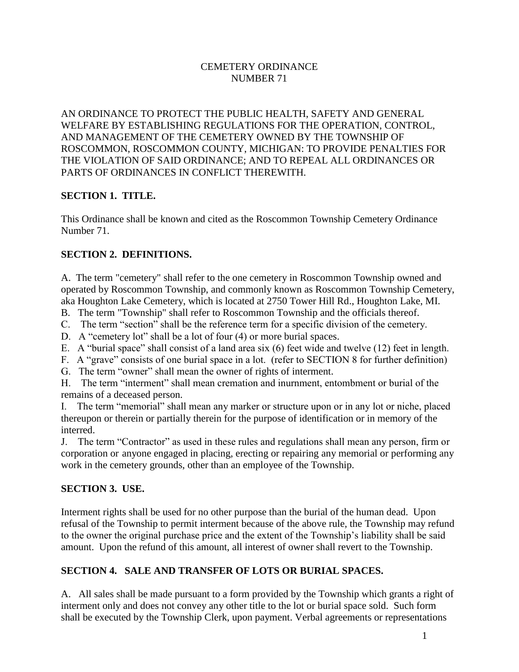## CEMETERY ORDINANCE NUMBER 71

AN ORDINANCE TO PROTECT THE PUBLIC HEALTH, SAFETY AND GENERAL WELFARE BY ESTABLISHING REGULATIONS FOR THE OPERATION, CONTROL, AND MANAGEMENT OF THE CEMETERY OWNED BY THE TOWNSHIP OF ROSCOMMON, ROSCOMMON COUNTY, MICHIGAN: TO PROVIDE PENALTIES FOR THE VIOLATION OF SAID ORDINANCE; AND TO REPEAL ALL ORDINANCES OR PARTS OF ORDINANCES IN CONFLICT THEREWITH.

### **SECTION 1. TITLE.**

This Ordinance shall be known and cited as the Roscommon Township Cemetery Ordinance Number 71.

### **SECTION 2. DEFINITIONS.**

A. The term "cemetery" shall refer to the one cemetery in Roscommon Township owned and operated by Roscommon Township, and commonly known as Roscommon Township Cemetery, aka Houghton Lake Cemetery, which is located at 2750 Tower Hill Rd., Houghton Lake, MI.

B. The term "Township" shall refer to Roscommon Township and the officials thereof.

C. The term "section" shall be the reference term for a specific division of the cemetery.

D. A "cemetery lot" shall be a lot of four (4) or more burial spaces.

E. A "burial space" shall consist of a land area six (6) feet wide and twelve (12) feet in length.

F. A "grave" consists of one burial space in a lot. (refer to SECTION 8 for further definition)

G. The term "owner" shall mean the owner of rights of interment.

H. The term "interment" shall mean cremation and inurnment, entombment or burial of the remains of a deceased person.

I. The term "memorial" shall mean any marker or structure upon or in any lot or niche, placed thereupon or therein or partially therein for the purpose of identification or in memory of the interred.

J. The term "Contractor" as used in these rules and regulations shall mean any person, firm or corporation or anyone engaged in placing, erecting or repairing any memorial or performing any work in the cemetery grounds, other than an employee of the Township.

## **SECTION 3. USE.**

Interment rights shall be used for no other purpose than the burial of the human dead. Upon refusal of the Township to permit interment because of the above rule, the Township may refund to the owner the original purchase price and the extent of the Township's liability shall be said amount. Upon the refund of this amount, all interest of owner shall revert to the Township.

## **SECTION 4. SALE AND TRANSFER OF LOTS OR BURIAL SPACES.**

A. All sales shall be made pursuant to a form provided by the Township which grants a right of interment only and does not convey any other title to the lot or burial space sold. Such form shall be executed by the Township Clerk, upon payment. Verbal agreements or representations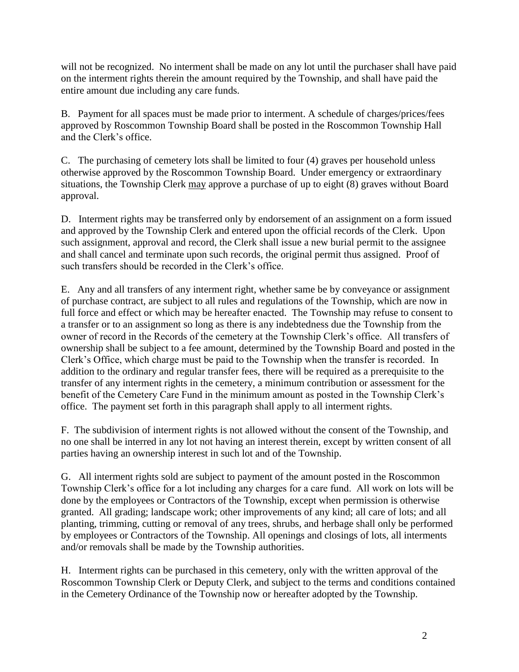will not be recognized. No interment shall be made on any lot until the purchaser shall have paid on the interment rights therein the amount required by the Township, and shall have paid the entire amount due including any care funds.

B. Payment for all spaces must be made prior to interment. A schedule of charges/prices/fees approved by Roscommon Township Board shall be posted in the Roscommon Township Hall and the Clerk's office.

C. The purchasing of cemetery lots shall be limited to four (4) graves per household unless otherwise approved by the Roscommon Township Board. Under emergency or extraordinary situations, the Township Clerk may approve a purchase of up to eight (8) graves without Board approval.

D. Interment rights may be transferred only by endorsement of an assignment on a form issued and approved by the Township Clerk and entered upon the official records of the Clerk. Upon such assignment, approval and record, the Clerk shall issue a new burial permit to the assignee and shall cancel and terminate upon such records, the original permit thus assigned. Proof of such transfers should be recorded in the Clerk's office.

E. Any and all transfers of any interment right, whether same be by conveyance or assignment of purchase contract, are subject to all rules and regulations of the Township, which are now in full force and effect or which may be hereafter enacted. The Township may refuse to consent to a transfer or to an assignment so long as there is any indebtedness due the Township from the owner of record in the Records of the cemetery at the Township Clerk's office. All transfers of ownership shall be subject to a fee amount, determined by the Township Board and posted in the Clerk's Office, which charge must be paid to the Township when the transfer is recorded. In addition to the ordinary and regular transfer fees, there will be required as a prerequisite to the transfer of any interment rights in the cemetery, a minimum contribution or assessment for the benefit of the Cemetery Care Fund in the minimum amount as posted in the Township Clerk's office. The payment set forth in this paragraph shall apply to all interment rights.

F. The subdivision of interment rights is not allowed without the consent of the Township, and no one shall be interred in any lot not having an interest therein, except by written consent of all parties having an ownership interest in such lot and of the Township.

G. All interment rights sold are subject to payment of the amount posted in the Roscommon Township Clerk's office for a lot including any charges for a care fund. All work on lots will be done by the employees or Contractors of the Township, except when permission is otherwise granted. All grading; landscape work; other improvements of any kind; all care of lots; and all planting, trimming, cutting or removal of any trees, shrubs, and herbage shall only be performed by employees or Contractors of the Township. All openings and closings of lots, all interments and/or removals shall be made by the Township authorities.

H. Interment rights can be purchased in this cemetery, only with the written approval of the Roscommon Township Clerk or Deputy Clerk, and subject to the terms and conditions contained in the Cemetery Ordinance of the Township now or hereafter adopted by the Township.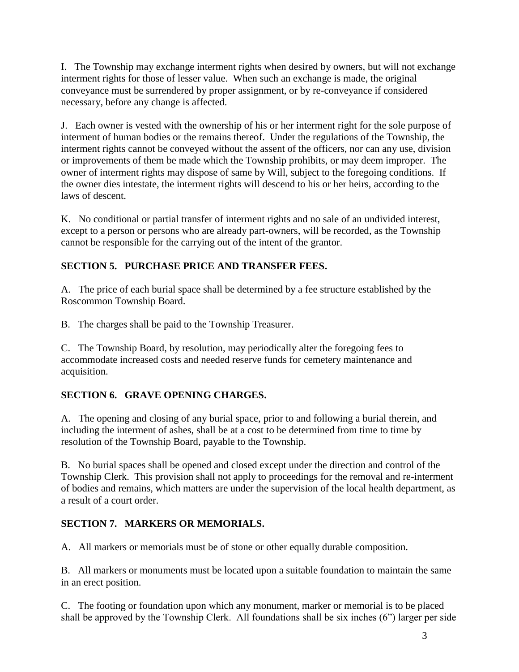I. The Township may exchange interment rights when desired by owners, but will not exchange interment rights for those of lesser value. When such an exchange is made, the original conveyance must be surrendered by proper assignment, or by re-conveyance if considered necessary, before any change is affected.

J. Each owner is vested with the ownership of his or her interment right for the sole purpose of interment of human bodies or the remains thereof. Under the regulations of the Township, the interment rights cannot be conveyed without the assent of the officers, nor can any use, division or improvements of them be made which the Township prohibits, or may deem improper. The owner of interment rights may dispose of same by Will, subject to the foregoing conditions. If the owner dies intestate, the interment rights will descend to his or her heirs, according to the laws of descent.

K. No conditional or partial transfer of interment rights and no sale of an undivided interest, except to a person or persons who are already part-owners, will be recorded, as the Township cannot be responsible for the carrying out of the intent of the grantor.

# **SECTION 5. PURCHASE PRICE AND TRANSFER FEES.**

A. The price of each burial space shall be determined by a fee structure established by the Roscommon Township Board.

B. The charges shall be paid to the Township Treasurer.

C. The Township Board, by resolution, may periodically alter the foregoing fees to accommodate increased costs and needed reserve funds for cemetery maintenance and acquisition.

## **SECTION 6. GRAVE OPENING CHARGES.**

A. The opening and closing of any burial space, prior to and following a burial therein, and including the interment of ashes, shall be at a cost to be determined from time to time by resolution of the Township Board, payable to the Township.

B. No burial spaces shall be opened and closed except under the direction and control of the Township Clerk. This provision shall not apply to proceedings for the removal and re-interment of bodies and remains, which matters are under the supervision of the local health department, as a result of a court order.

## **SECTION 7. MARKERS OR MEMORIALS.**

A. All markers or memorials must be of stone or other equally durable composition.

B. All markers or monuments must be located upon a suitable foundation to maintain the same in an erect position.

C. The footing or foundation upon which any monument, marker or memorial is to be placed shall be approved by the Township Clerk. All foundations shall be six inches (6") larger per side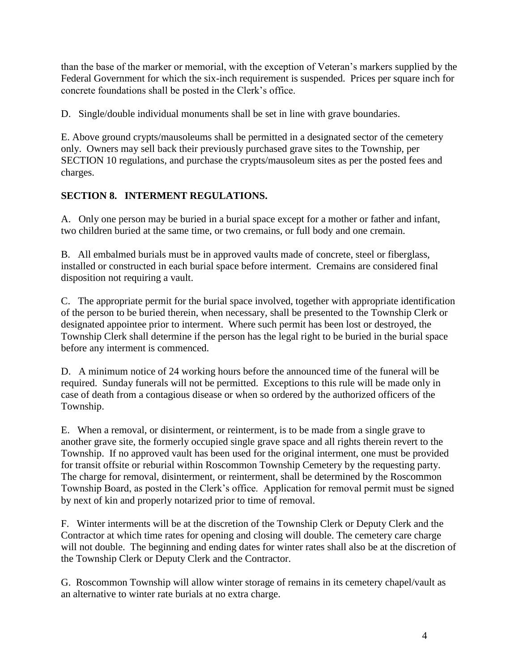than the base of the marker or memorial, with the exception of Veteran's markers supplied by the Federal Government for which the six-inch requirement is suspended. Prices per square inch for concrete foundations shall be posted in the Clerk's office.

D. Single/double individual monuments shall be set in line with grave boundaries.

E. Above ground crypts/mausoleums shall be permitted in a designated sector of the cemetery only. Owners may sell back their previously purchased grave sites to the Township, per SECTION 10 regulations, and purchase the crypts/mausoleum sites as per the posted fees and charges.

# **SECTION 8. INTERMENT REGULATIONS.**

A. Only one person may be buried in a burial space except for a mother or father and infant, two children buried at the same time, or two cremains, or full body and one cremain.

B. All embalmed burials must be in approved vaults made of concrete, steel or fiberglass, installed or constructed in each burial space before interment. Cremains are considered final disposition not requiring a vault.

C. The appropriate permit for the burial space involved, together with appropriate identification of the person to be buried therein, when necessary, shall be presented to the Township Clerk or designated appointee prior to interment. Where such permit has been lost or destroyed, the Township Clerk shall determine if the person has the legal right to be buried in the burial space before any interment is commenced.

D. A minimum notice of 24 working hours before the announced time of the funeral will be required. Sunday funerals will not be permitted. Exceptions to this rule will be made only in case of death from a contagious disease or when so ordered by the authorized officers of the Township.

E. When a removal, or disinterment, or reinterment, is to be made from a single grave to another grave site, the formerly occupied single grave space and all rights therein revert to the Township. If no approved vault has been used for the original interment, one must be provided for transit offsite or reburial within Roscommon Township Cemetery by the requesting party. The charge for removal, disinterment, or reinterment, shall be determined by the Roscommon Township Board, as posted in the Clerk's office. Application for removal permit must be signed by next of kin and properly notarized prior to time of removal.

F. Winter interments will be at the discretion of the Township Clerk or Deputy Clerk and the Contractor at which time rates for opening and closing will double. The cemetery care charge will not double. The beginning and ending dates for winter rates shall also be at the discretion of the Township Clerk or Deputy Clerk and the Contractor.

G. Roscommon Township will allow winter storage of remains in its cemetery chapel/vault as an alternative to winter rate burials at no extra charge.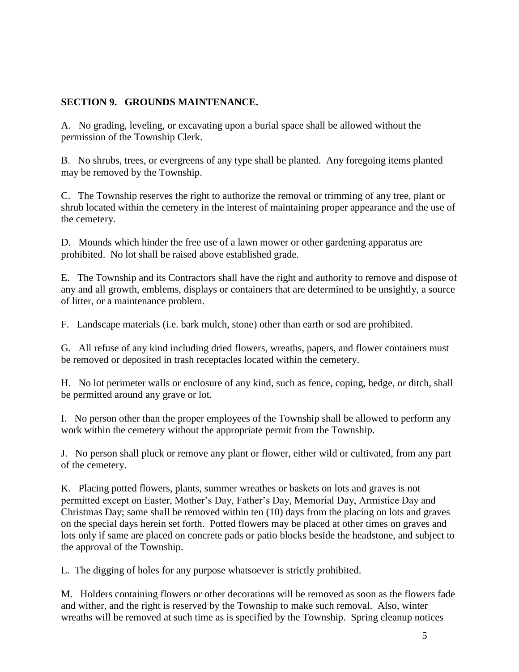#### **SECTION 9. GROUNDS MAINTENANCE.**

A. No grading, leveling, or excavating upon a burial space shall be allowed without the permission of the Township Clerk.

B. No shrubs, trees, or evergreens of any type shall be planted. Any foregoing items planted may be removed by the Township.

C. The Township reserves the right to authorize the removal or trimming of any tree, plant or shrub located within the cemetery in the interest of maintaining proper appearance and the use of the cemetery.

D. Mounds which hinder the free use of a lawn mower or other gardening apparatus are prohibited. No lot shall be raised above established grade.

E. The Township and its Contractors shall have the right and authority to remove and dispose of any and all growth, emblems, displays or containers that are determined to be unsightly, a source of litter, or a maintenance problem.

F. Landscape materials (i.e. bark mulch, stone) other than earth or sod are prohibited.

G. All refuse of any kind including dried flowers, wreaths, papers, and flower containers must be removed or deposited in trash receptacles located within the cemetery.

H. No lot perimeter walls or enclosure of any kind, such as fence, coping, hedge, or ditch, shall be permitted around any grave or lot.

I. No person other than the proper employees of the Township shall be allowed to perform any work within the cemetery without the appropriate permit from the Township.

J. No person shall pluck or remove any plant or flower, either wild or cultivated, from any part of the cemetery.

K. Placing potted flowers, plants, summer wreathes or baskets on lots and graves is not permitted except on Easter, Mother's Day, Father's Day, Memorial Day, Armistice Day and Christmas Day; same shall be removed within ten (10) days from the placing on lots and graves on the special days herein set forth. Potted flowers may be placed at other times on graves and lots only if same are placed on concrete pads or patio blocks beside the headstone, and subject to the approval of the Township.

L. The digging of holes for any purpose whatsoever is strictly prohibited.

M. Holders containing flowers or other decorations will be removed as soon as the flowers fade and wither, and the right is reserved by the Township to make such removal. Also, winter wreaths will be removed at such time as is specified by the Township. Spring cleanup notices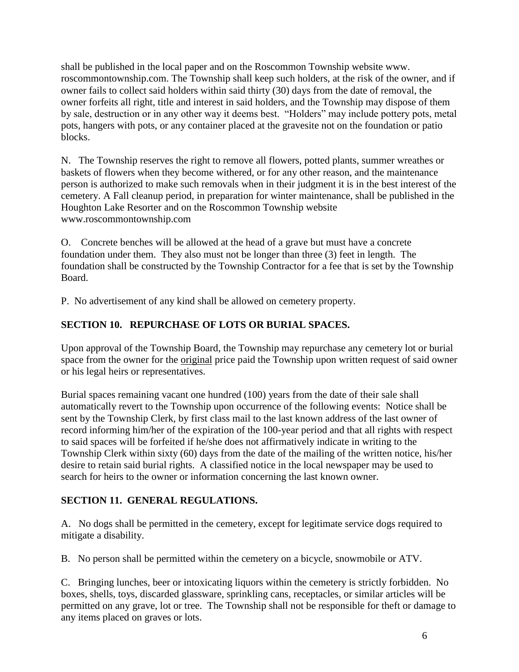shall be published in the local paper and on the Roscommon Township website www. roscommontownship.com. The Township shall keep such holders, at the risk of the owner, and if owner fails to collect said holders within said thirty (30) days from the date of removal, the owner forfeits all right, title and interest in said holders, and the Township may dispose of them by sale, destruction or in any other way it deems best. "Holders" may include pottery pots, metal pots, hangers with pots, or any container placed at the gravesite not on the foundation or patio blocks.

N. The Township reserves the right to remove all flowers, potted plants, summer wreathes or baskets of flowers when they become withered, or for any other reason, and the maintenance person is authorized to make such removals when in their judgment it is in the best interest of the cemetery. A Fall cleanup period, in preparation for winter maintenance, shall be published in the Houghton Lake Resorter and on the Roscommon Township website www.roscommontownship.com

O. Concrete benches will be allowed at the head of a grave but must have a concrete foundation under them. They also must not be longer than three (3) feet in length. The foundation shall be constructed by the Township Contractor for a fee that is set by the Township Board.

P. No advertisement of any kind shall be allowed on cemetery property.

# **SECTION 10. REPURCHASE OF LOTS OR BURIAL SPACES.**

Upon approval of the Township Board, the Township may repurchase any cemetery lot or burial space from the owner for the original price paid the Township upon written request of said owner or his legal heirs or representatives.

Burial spaces remaining vacant one hundred (100) years from the date of their sale shall automatically revert to the Township upon occurrence of the following events: Notice shall be sent by the Township Clerk, by first class mail to the last known address of the last owner of record informing him/her of the expiration of the 100-year period and that all rights with respect to said spaces will be forfeited if he/she does not affirmatively indicate in writing to the Township Clerk within sixty (60) days from the date of the mailing of the written notice, his/her desire to retain said burial rights. A classified notice in the local newspaper may be used to search for heirs to the owner or information concerning the last known owner.

## **SECTION 11. GENERAL REGULATIONS.**

A. No dogs shall be permitted in the cemetery, except for legitimate service dogs required to mitigate a disability.

B. No person shall be permitted within the cemetery on a bicycle, snowmobile or ATV.

C. Bringing lunches, beer or intoxicating liquors within the cemetery is strictly forbidden. No boxes, shells, toys, discarded glassware, sprinkling cans, receptacles, or similar articles will be permitted on any grave, lot or tree. The Township shall not be responsible for theft or damage to any items placed on graves or lots.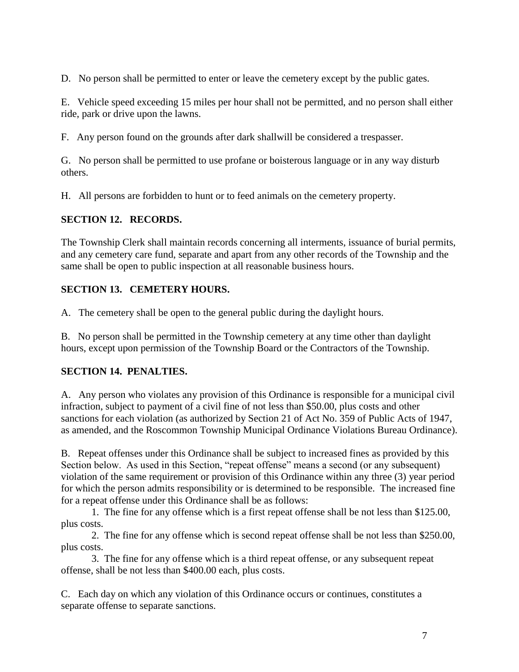D. No person shall be permitted to enter or leave the cemetery except by the public gates.

E. Vehicle speed exceeding 15 miles per hour shall not be permitted, and no person shall either ride, park or drive upon the lawns.

F. Any person found on the grounds after dark shallwill be considered a trespasser.

G. No person shall be permitted to use profane or boisterous language or in any way disturb others.

H. All persons are forbidden to hunt or to feed animals on the cemetery property.

## **SECTION 12. RECORDS.**

The Township Clerk shall maintain records concerning all interments, issuance of burial permits, and any cemetery care fund, separate and apart from any other records of the Township and the same shall be open to public inspection at all reasonable business hours.

# **SECTION 13. CEMETERY HOURS.**

A. The cemetery shall be open to the general public during the daylight hours.

B. No person shall be permitted in the Township cemetery at any time other than daylight hours, except upon permission of the Township Board or the Contractors of the Township.

## **SECTION 14. PENALTIES.**

A. Any person who violates any provision of this Ordinance is responsible for a municipal civil infraction, subject to payment of a civil fine of not less than \$50.00, plus costs and other sanctions for each violation (as authorized by Section 21 of Act No. 359 of Public Acts of 1947, as amended, and the Roscommon Township Municipal Ordinance Violations Bureau Ordinance).

B. Repeat offenses under this Ordinance shall be subject to increased fines as provided by this Section below. As used in this Section, "repeat offense" means a second (or any subsequent) violation of the same requirement or provision of this Ordinance within any three (3) year period for which the person admits responsibility or is determined to be responsible. The increased fine for a repeat offense under this Ordinance shall be as follows:

1. The fine for any offense which is a first repeat offense shall be not less than \$125.00, plus costs.

2. The fine for any offense which is second repeat offense shall be not less than \$250.00, plus costs.

3. The fine for any offense which is a third repeat offense, or any subsequent repeat offense, shall be not less than \$400.00 each, plus costs.

C. Each day on which any violation of this Ordinance occurs or continues, constitutes a separate offense to separate sanctions.